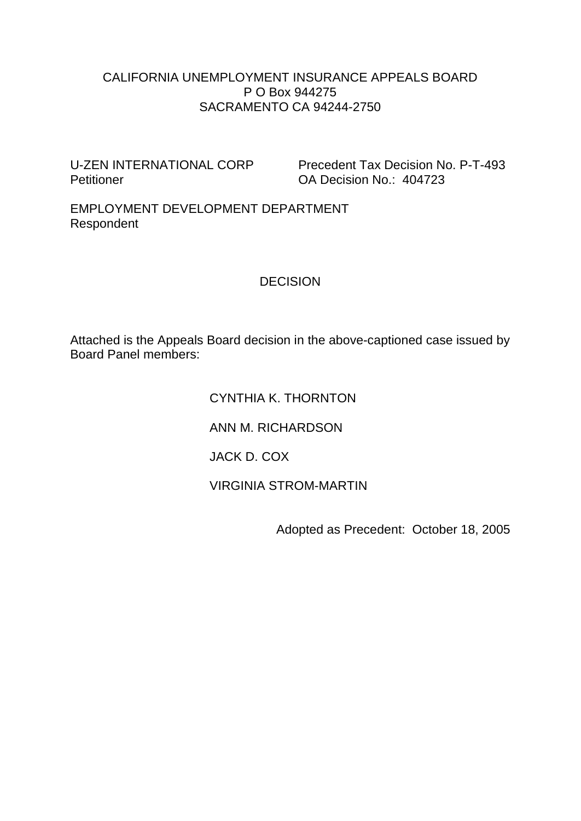#### CALIFORNIA UNEMPLOYMENT INSURANCE APPEALS BOARD P O Box 944275 SACRAMENTO CA 94244-2750

Petitioner **DA Decision No.: 404723** 

U-ZEN INTERNATIONAL CORP Precedent Tax Decision No. P-T-493

EMPLOYMENT DEVELOPMENT DEPARTMENT Respondent

#### DECISION

Attached is the Appeals Board decision in the above-captioned case issued by Board Panel members:

> CYNTHIA K. THORNTON ANN M. RICHARDSON JACK D. COX VIRGINIA STROM-MARTIN

Adopted as Precedent: October 18, 2005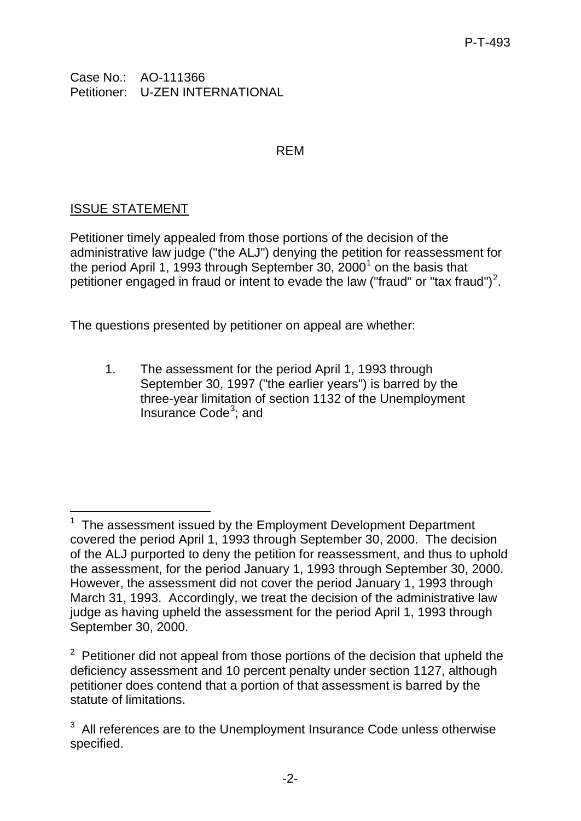Case No.: AO-111366 Petitioner: U-ZEN INTERNATIONAL

#### REM

## ISSUE STATEMENT

Petitioner timely appealed from those portions of the decision of the administrative law judge ("the ALJ") denying the petition for reassessment for the period April [1](#page-1-0), 1993 through September 30, 2000<sup>1</sup> on the basis that petitioner engaged in fraud or intent to evade the law ("fraud" or "tax fraud")<sup>[2](#page-1-1)</sup>.

The questions presented by petitioner on appeal are whether:

1. The assessment for the period April 1, 1993 through September 30, 1997 ("the earlier years") is barred by the three-year limitation of section 1132 of the Unemployment Insurance Code<sup>[3](#page-1-2)</sup>; and

<span id="page-1-0"></span> $\overline{\phantom{a}}$ <sup>1</sup> The assessment issued by the Employment Development Department covered the period April 1, 1993 through September 30, 2000. The decision of the ALJ purported to deny the petition for reassessment, and thus to uphold the assessment, for the period January 1, 1993 through September 30, 2000. However, the assessment did not cover the period January 1, 1993 through March 31, 1993. Accordingly, we treat the decision of the administrative law judge as having upheld the assessment for the period April 1, 1993 through September 30, 2000.

<span id="page-1-1"></span> $2$  Petitioner did not appeal from those portions of the decision that upheld the deficiency assessment and 10 percent penalty under section 1127, although petitioner does contend that a portion of that assessment is barred by the statute of limitations.

<span id="page-1-2"></span> $3$  All references are to the Unemployment Insurance Code unless otherwise specified.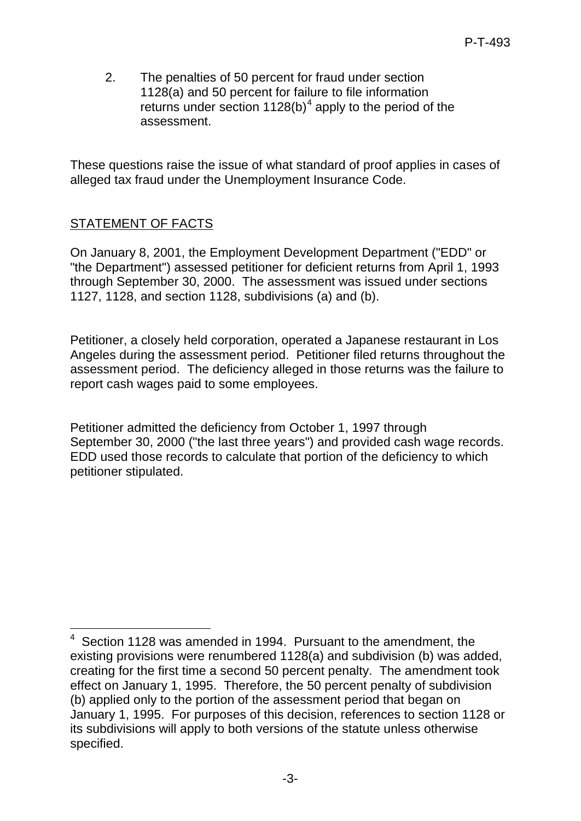2. The penalties of 50 percent for fraud under section 1128(a) and 50 percent for failure to file information returns under section  $1128(b)^4$  $1128(b)^4$  apply to the period of the assessment.

These questions raise the issue of what standard of proof applies in cases of alleged tax fraud under the Unemployment Insurance Code.

### STATEMENT OF FACTS

On January 8, 2001, the Employment Development Department ("EDD" or "the Department") assessed petitioner for deficient returns from April 1, 1993 through September 30, 2000. The assessment was issued under sections 1127, 1128, and section 1128, subdivisions (a) and (b).

Petitioner, a closely held corporation, operated a Japanese restaurant in Los Angeles during the assessment period. Petitioner filed returns throughout the assessment period. The deficiency alleged in those returns was the failure to report cash wages paid to some employees.

Petitioner admitted the deficiency from October 1, 1997 through September 30, 2000 ("the last three years") and provided cash wage records. EDD used those records to calculate that portion of the deficiency to which petitioner stipulated.

<span id="page-2-0"></span> 4 Section 1128 was amended in 1994. Pursuant to the amendment, the existing provisions were renumbered 1128(a) and subdivision (b) was added, creating for the first time a second 50 percent penalty. The amendment took effect on January 1, 1995. Therefore, the 50 percent penalty of subdivision (b) applied only to the portion of the assessment period that began on January 1, 1995. For purposes of this decision, references to section 1128 or its subdivisions will apply to both versions of the statute unless otherwise specified.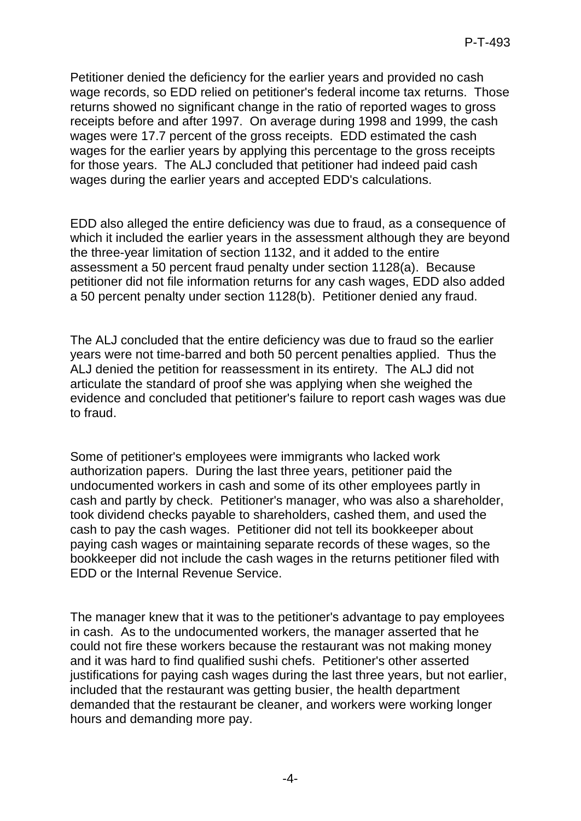Petitioner denied the deficiency for the earlier years and provided no cash wage records, so EDD relied on petitioner's federal income tax returns. Those returns showed no significant change in the ratio of reported wages to gross receipts before and after 1997. On average during 1998 and 1999, the cash wages were 17.7 percent of the gross receipts. EDD estimated the cash wages for the earlier years by applying this percentage to the gross receipts for those years. The ALJ concluded that petitioner had indeed paid cash wages during the earlier years and accepted EDD's calculations.

EDD also alleged the entire deficiency was due to fraud, as a consequence of which it included the earlier years in the assessment although they are beyond the three-year limitation of section 1132, and it added to the entire assessment a 50 percent fraud penalty under section 1128(a). Because petitioner did not file information returns for any cash wages, EDD also added a 50 percent penalty under section 1128(b). Petitioner denied any fraud.

The ALJ concluded that the entire deficiency was due to fraud so the earlier years were not time-barred and both 50 percent penalties applied. Thus the ALJ denied the petition for reassessment in its entirety. The ALJ did not articulate the standard of proof she was applying when she weighed the evidence and concluded that petitioner's failure to report cash wages was due to fraud.

Some of petitioner's employees were immigrants who lacked work authorization papers. During the last three years, petitioner paid the undocumented workers in cash and some of its other employees partly in cash and partly by check. Petitioner's manager, who was also a shareholder, took dividend checks payable to shareholders, cashed them, and used the cash to pay the cash wages. Petitioner did not tell its bookkeeper about paying cash wages or maintaining separate records of these wages, so the bookkeeper did not include the cash wages in the returns petitioner filed with EDD or the Internal Revenue Service.

The manager knew that it was to the petitioner's advantage to pay employees in cash. As to the undocumented workers, the manager asserted that he could not fire these workers because the restaurant was not making money and it was hard to find qualified sushi chefs. Petitioner's other asserted justifications for paying cash wages during the last three years, but not earlier, included that the restaurant was getting busier, the health department demanded that the restaurant be cleaner, and workers were working longer hours and demanding more pay.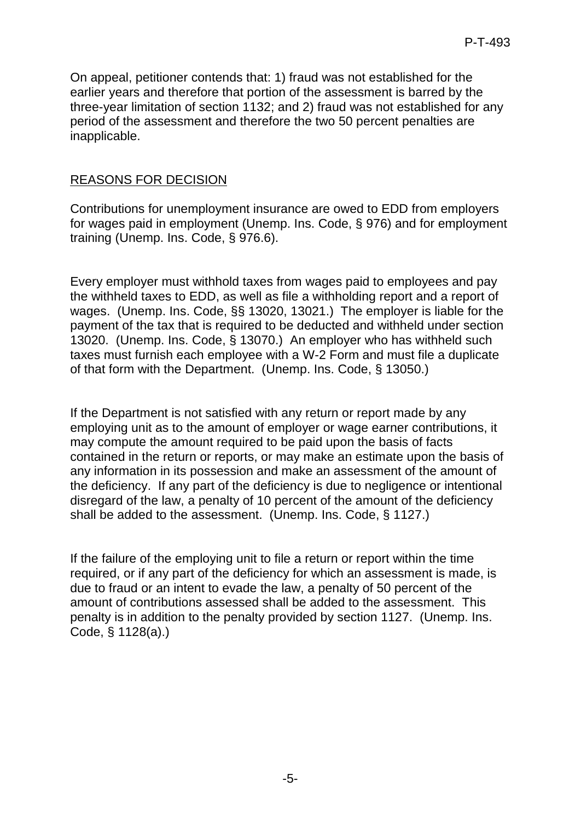On appeal, petitioner contends that: 1) fraud was not established for the earlier years and therefore that portion of the assessment is barred by the three-year limitation of section 1132; and 2) fraud was not established for any period of the assessment and therefore the two 50 percent penalties are inapplicable.

## REASONS FOR DECISION

Contributions for unemployment insurance are owed to EDD from employers for wages paid in employment (Unemp. Ins. Code, § 976) and for employment training (Unemp. Ins. Code, § 976.6).

Every employer must withhold taxes from wages paid to employees and pay the withheld taxes to EDD, as well as file a withholding report and a report of wages. (Unemp. Ins. Code, §§ 13020, 13021.) The employer is liable for the payment of the tax that is required to be deducted and withheld under section 13020. (Unemp. Ins. Code, § 13070.) An employer who has withheld such taxes must furnish each employee with a W-2 Form and must file a duplicate of that form with the Department. (Unemp. Ins. Code, § 13050.)

If the Department is not satisfied with any return or report made by any employing unit as to the amount of employer or wage earner contributions, it may compute the amount required to be paid upon the basis of facts contained in the return or reports, or may make an estimate upon the basis of any information in its possession and make an assessment of the amount of the deficiency. If any part of the deficiency is due to negligence or intentional disregard of the law, a penalty of 10 percent of the amount of the deficiency shall be added to the assessment. (Unemp. Ins. Code, § 1127.)

If the failure of the employing unit to file a return or report within the time required, or if any part of the deficiency for which an assessment is made, is due to fraud or an intent to evade the law, a penalty of 50 percent of the amount of contributions assessed shall be added to the assessment. This penalty is in addition to the penalty provided by section 1127. (Unemp. Ins. Code, § 1128(a).)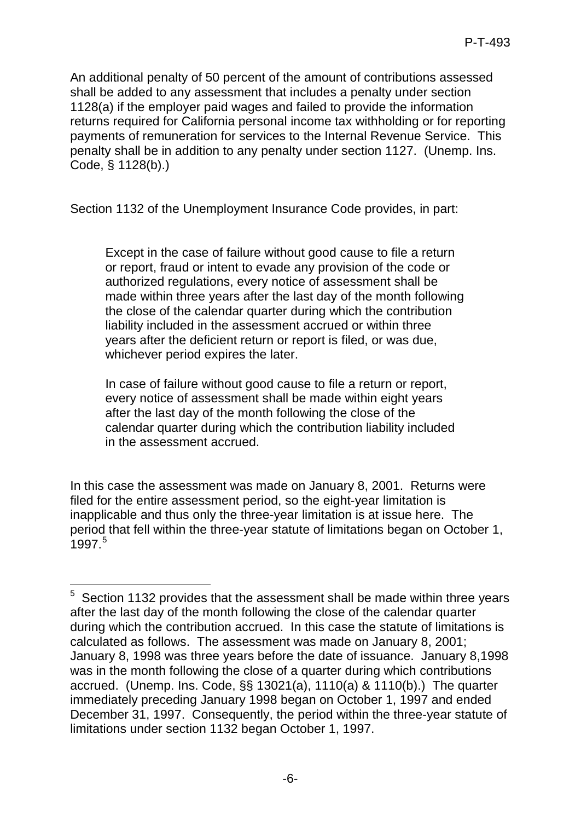An additional penalty of 50 percent of the amount of contributions assessed shall be added to any assessment that includes a penalty under section 1128(a) if the employer paid wages and failed to provide the information returns required for California personal income tax withholding or for reporting payments of remuneration for services to the Internal Revenue Service. This penalty shall be in addition to any penalty under section 1127. (Unemp. Ins. Code, § 1128(b).)

Section 1132 of the Unemployment Insurance Code provides, in part:

Except in the case of failure without good cause to file a return or report, fraud or intent to evade any provision of the code or authorized regulations, every notice of assessment shall be made within three years after the last day of the month following the close of the calendar quarter during which the contribution liability included in the assessment accrued or within three years after the deficient return or report is filed, or was due, whichever period expires the later.

In case of failure without good cause to file a return or report, every notice of assessment shall be made within eight years after the last day of the month following the close of the calendar quarter during which the contribution liability included in the assessment accrued.

In this case the assessment was made on January 8, 2001. Returns were filed for the entire assessment period, so the eight-year limitation is inapplicable and thus only the three-year limitation is at issue here. The period that fell within the three-year statute of limitations began on October 1, 1997. [5](#page-5-0)

<span id="page-5-0"></span> 5 Section 1132 provides that the assessment shall be made within three years after the last day of the month following the close of the calendar quarter during which the contribution accrued. In this case the statute of limitations is calculated as follows. The assessment was made on January 8, 2001; January 8, 1998 was three years before the date of issuance. January 8,1998 was in the month following the close of a quarter during which contributions accrued. (Unemp. Ins. Code, §§ 13021(a), 1110(a) & 1110(b).) The quarter immediately preceding January 1998 began on October 1, 1997 and ended December 31, 1997. Consequently, the period within the three-year statute of limitations under section 1132 began October 1, 1997.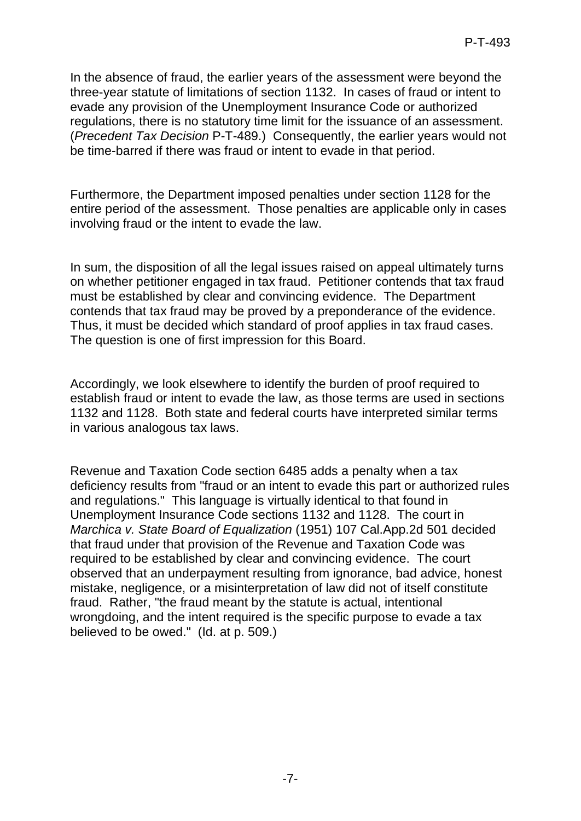In the absence of fraud, the earlier years of the assessment were beyond the three-year statute of limitations of section 1132. In cases of fraud or intent to evade any provision of the Unemployment Insurance Code or authorized regulations, there is no statutory time limit for the issuance of an assessment. (*Precedent Tax Decision* P-T-489.) Consequently, the earlier years would not be time-barred if there was fraud or intent to evade in that period.

Furthermore, the Department imposed penalties under section 1128 for the entire period of the assessment. Those penalties are applicable only in cases involving fraud or the intent to evade the law.

In sum, the disposition of all the legal issues raised on appeal ultimately turns on whether petitioner engaged in tax fraud. Petitioner contends that tax fraud must be established by clear and convincing evidence. The Department contends that tax fraud may be proved by a preponderance of the evidence. Thus, it must be decided which standard of proof applies in tax fraud cases. The question is one of first impression for this Board.

Accordingly, we look elsewhere to identify the burden of proof required to establish fraud or intent to evade the law, as those terms are used in sections 1132 and 1128. Both state and federal courts have interpreted similar terms in various analogous tax laws.

Revenue and Taxation Code section 6485 adds a penalty when a tax deficiency results from "fraud or an intent to evade this part or authorized rules and regulations." This language is virtually identical to that found in Unemployment Insurance Code sections 1132 and 1128. The court in *Marchica v. State Board of Equalization* (1951) 107 Cal.App.2d 501 decided that fraud under that provision of the Revenue and Taxation Code was required to be established by clear and convincing evidence. The court observed that an underpayment resulting from ignorance, bad advice, honest mistake, negligence, or a misinterpretation of law did not of itself constitute fraud. Rather, "the fraud meant by the statute is actual, intentional wrongdoing, and the intent required is the specific purpose to evade a tax believed to be owed." (Id. at p. 509.)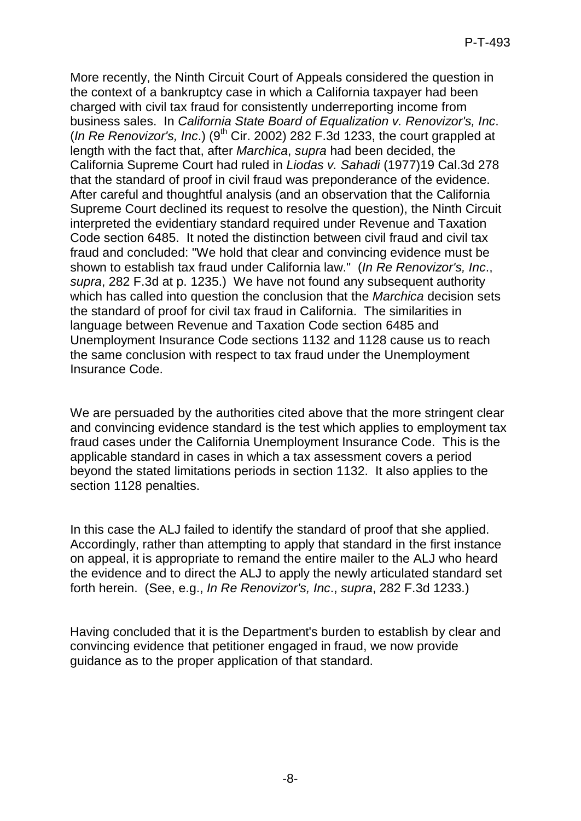More recently, the Ninth Circuit Court of Appeals considered the question in the context of a bankruptcy case in which a California taxpayer had been charged with civil tax fraud for consistently underreporting income from business sales. In *California State Board of Equalization v. Renovizor's, Inc*. (*In Re Renovizor's, Inc.*) ( $9<sup>th</sup>$  Cir. 2002) 282 F.3d 1233, the court grappled at length with the fact that, after *Marchica*, *supra* had been decided, the California Supreme Court had ruled in *Liodas v. Sahadi* (1977)19 Cal.3d 278 that the standard of proof in civil fraud was preponderance of the evidence. After careful and thoughtful analysis (and an observation that the California Supreme Court declined its request to resolve the question), the Ninth Circuit interpreted the evidentiary standard required under Revenue and Taxation Code section 6485. It noted the distinction between civil fraud and civil tax fraud and concluded: "We hold that clear and convincing evidence must be shown to establish tax fraud under California law." (*In Re Renovizor's, Inc*., *supra*, 282 F.3d at p. 1235.) We have not found any subsequent authority which has called into question the conclusion that the *Marchica* decision sets the standard of proof for civil tax fraud in California. The similarities in language between Revenue and Taxation Code section 6485 and Unemployment Insurance Code sections 1132 and 1128 cause us to reach the same conclusion with respect to tax fraud under the Unemployment Insurance Code.

We are persuaded by the authorities cited above that the more stringent clear and convincing evidence standard is the test which applies to employment tax fraud cases under the California Unemployment Insurance Code. This is the applicable standard in cases in which a tax assessment covers a period beyond the stated limitations periods in section 1132. It also applies to the section 1128 penalties.

In this case the ALJ failed to identify the standard of proof that she applied. Accordingly, rather than attempting to apply that standard in the first instance on appeal, it is appropriate to remand the entire mailer to the ALJ who heard the evidence and to direct the ALJ to apply the newly articulated standard set forth herein. (See, e.g., *In Re Renovizor's, Inc*., *supra*, 282 F.3d 1233.)

Having concluded that it is the Department's burden to establish by clear and convincing evidence that petitioner engaged in fraud, we now provide guidance as to the proper application of that standard.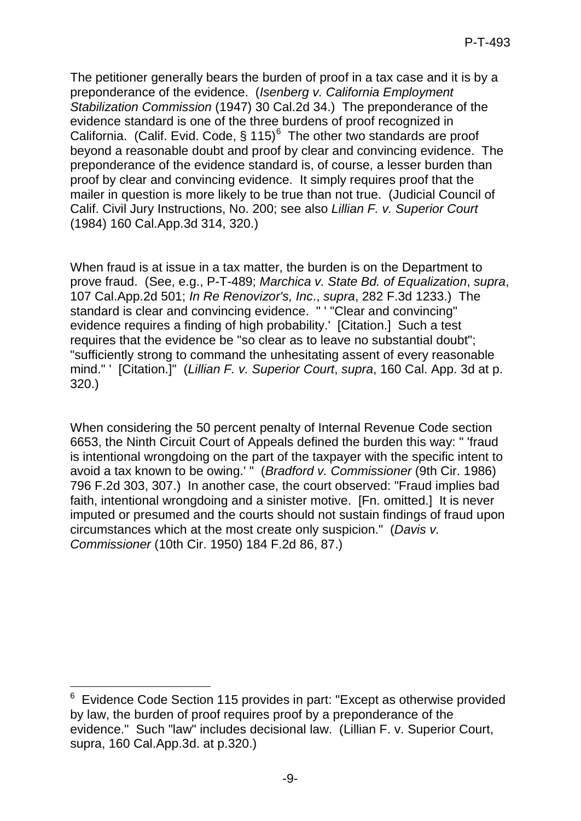The petitioner generally bears the burden of proof in a tax case and it is by a preponderance of the evidence. (*Isenberg v. California Employment Stabilization Commission* (1947) 30 Cal.2d 34.) The preponderance of the evidence standard is one of the three burdens of proof recognized in California. (Calif. Evid. Code, § 115)<sup>[6](#page-8-0)</sup> The other two standards are proof beyond a reasonable doubt and proof by clear and convincing evidence. The preponderance of the evidence standard is, of course, a lesser burden than proof by clear and convincing evidence. It simply requires proof that the mailer in question is more likely to be true than not true. (Judicial Council of Calif. Civil Jury Instructions, No. 200; see also *Lillian F. v. Superior Court* (1984) 160 Cal.App.3d 314, 320.)

When fraud is at issue in a tax matter, the burden is on the Department to prove fraud. (See, e.g., P-T-489; *Marchica v. State Bd. of Equalization*, *supra*, 107 Cal.App.2d 501; *In Re Renovizor's, Inc*., *supra*, 282 F.3d 1233.) The standard is clear and convincing evidence. " ' "Clear and convincing" evidence requires a finding of high probability.' [Citation.] Such a test requires that the evidence be "so clear as to leave no substantial doubt"; "sufficiently strong to command the unhesitating assent of every reasonable mind." ' [Citation.]" (*Lillian F. v. Superior Court*, *supra*, 160 Cal. App. 3d at p. 320.)

When considering the 50 percent penalty of Internal Revenue Code section 6653, the Ninth Circuit Court of Appeals defined the burden this way: " 'fraud is intentional wrongdoing on the part of the taxpayer with the specific intent to avoid a tax known to be owing.' " (*Bradford v. Commissioner* (9th Cir. 1986) 796 F.2d 303, 307.) In another case, the court observed: "Fraud implies bad faith, intentional wrongdoing and a sinister motive. [Fn. omitted.] It is never imputed or presumed and the courts should not sustain findings of fraud upon circumstances which at the most create only suspicion." (*Davis v. Commissioner* (10th Cir. 1950) 184 F.2d 86, 87.)

<span id="page-8-0"></span>\_\_\_\_\_\_\_\_\_\_\_\_\_\_\_\_\_\_\_\_\_\_\_\_\_\_\_\_<br><sup>6</sup> Evidence Code Section 115 provides in part: "Except as otherwise provided i by law, the burden of proof requires proof by a preponderance of the evidence." Such "law" includes decisional law. (Lillian F. v. Superior Court, supra, 160 Cal.App.3d. at p.320.)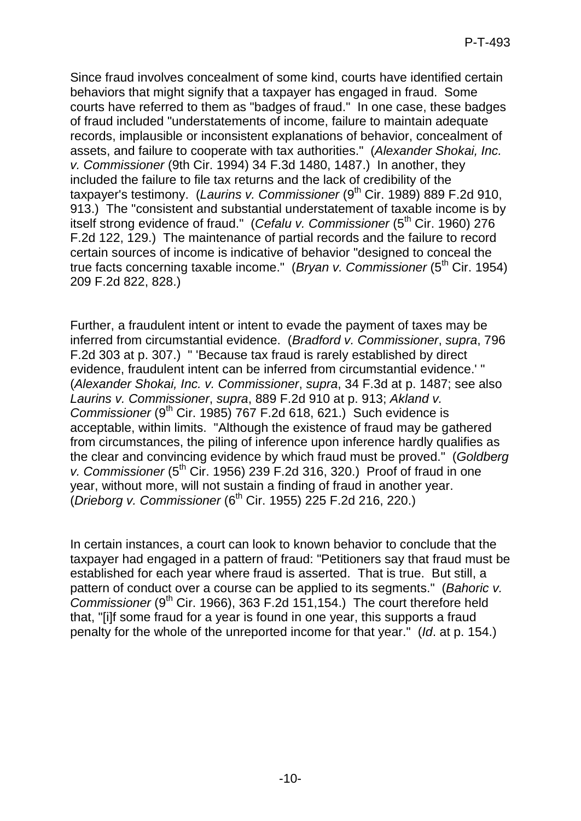Since fraud involves concealment of some kind, courts have identified certain behaviors that might signify that a taxpayer has engaged in fraud. Some courts have referred to them as "badges of fraud." In one case, these badges of fraud included "understatements of income, failure to maintain adequate records, implausible or inconsistent explanations of behavior, concealment of assets, and failure to cooperate with tax authorities." (*Alexander Shokai, Inc. v. Commissioner* (9th Cir. 1994) 34 F.3d 1480, 1487.) In another, they included the failure to file tax returns and the lack of credibility of the taxpayer's testimony. (Laurins v. Commissioner (9<sup>th</sup> Cir. 1989) 889 F.2d 910, 913.) The "consistent and substantial understatement of taxable income is by itself strong evidence of fraud." (*Cefalu v. Commissioner* (5<sup>th</sup> Cir. 1960) 276 F.2d 122, 129.) The maintenance of partial records and the failure to record certain sources of income is indicative of behavior "designed to conceal the true facts concerning taxable income." (*Bryan v. Commissioner* (5<sup>th</sup> Cir. 1954) 209 F.2d 822, 828.)

Further, a fraudulent intent or intent to evade the payment of taxes may be inferred from circumstantial evidence. (*Bradford v. Commissioner*, *supra*, 796 F.2d 303 at p. 307.) " 'Because tax fraud is rarely established by direct evidence, fraudulent intent can be inferred from circumstantial evidence.' " (*Alexander Shokai, Inc. v. Commissioner*, *supra*, 34 F.3d at p. 1487; see also *Laurins v. Commissioner*, *supra*, 889 F.2d 910 at p. 913; *Akland v. Commissioner* (9<sup>th</sup> Cir. 1985) 767 F.2d 618, 621.) Such evidence is acceptable, within limits. "Although the existence of fraud may be gathered from circumstances, the piling of inference upon inference hardly qualifies as the clear and convincing evidence by which fraud must be proved." (*Goldberg v. Commissioner* (5<sup>th</sup> Cir. 1956) 239 F.2d 316, 320.) Proof of fraud in one year, without more, will not sustain a finding of fraud in another year. (*Drieborg v. Commissioner* (6th Cir. 1955) 225 F.2d 216, 220.)

In certain instances, a court can look to known behavior to conclude that the taxpayer had engaged in a pattern of fraud: "Petitioners say that fraud must be established for each year where fraud is asserted. That is true. But still, a pattern of conduct over a course can be applied to its segments." (*Bahoric v. Commissioner* (9<sup>th</sup> Cir. 1966), 363 F.2d 151, 154.) The court therefore held that, "[i]f some fraud for a year is found in one year, this supports a fraud penalty for the whole of the unreported income for that year." (*Id*. at p. 154.)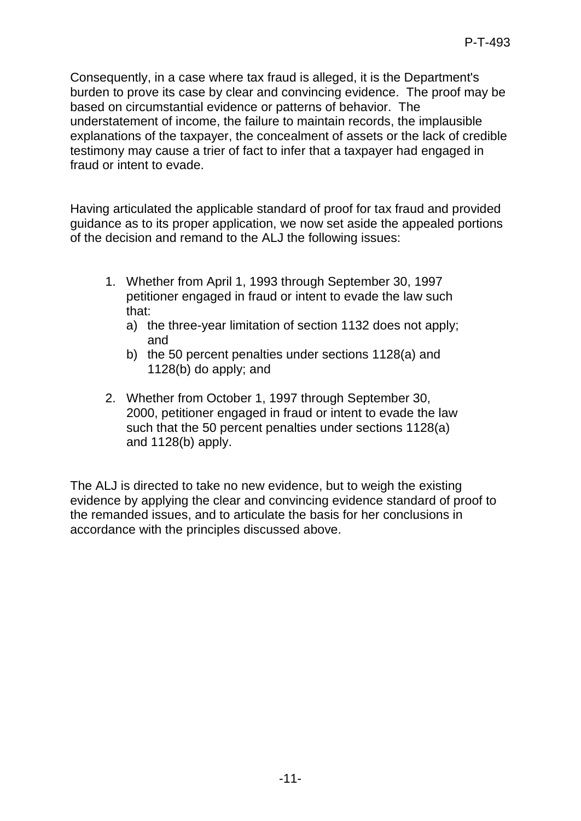Consequently, in a case where tax fraud is alleged, it is the Department's burden to prove its case by clear and convincing evidence. The proof may be based on circumstantial evidence or patterns of behavior. The understatement of income, the failure to maintain records, the implausible explanations of the taxpayer, the concealment of assets or the lack of credible testimony may cause a trier of fact to infer that a taxpayer had engaged in fraud or intent to evade.

Having articulated the applicable standard of proof for tax fraud and provided guidance as to its proper application, we now set aside the appealed portions of the decision and remand to the ALJ the following issues:

- 1. Whether from April 1, 1993 through September 30, 1997 petitioner engaged in fraud or intent to evade the law such that:
	- a) the three-year limitation of section 1132 does not apply; and
	- b) the 50 percent penalties under sections 1128(a) and 1128(b) do apply; and
- 2. Whether from October 1, 1997 through September 30, 2000, petitioner engaged in fraud or intent to evade the law such that the 50 percent penalties under sections 1128(a) and 1128(b) apply.

The ALJ is directed to take no new evidence, but to weigh the existing evidence by applying the clear and convincing evidence standard of proof to the remanded issues, and to articulate the basis for her conclusions in accordance with the principles discussed above.